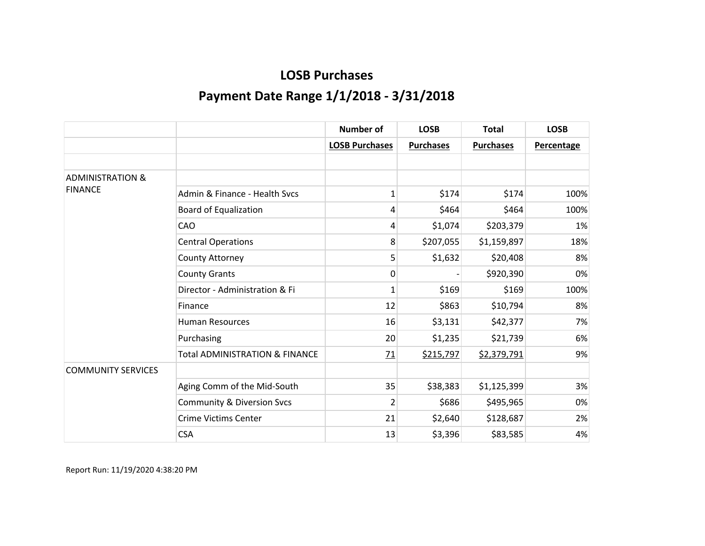|                             |                                           | <b>Number of</b>      | <b>LOSB</b>      | <b>Total</b>     | <b>LOSB</b>       |
|-----------------------------|-------------------------------------------|-----------------------|------------------|------------------|-------------------|
|                             |                                           | <b>LOSB Purchases</b> | <b>Purchases</b> | <b>Purchases</b> | <b>Percentage</b> |
|                             |                                           |                       |                  |                  |                   |
| <b>ADMINISTRATION &amp;</b> |                                           |                       |                  |                  |                   |
| <b>FINANCE</b>              | Admin & Finance - Health Sycs             | 1                     | \$174            | \$174            | 100%              |
|                             | <b>Board of Equalization</b>              | 4                     | \$464            | \$464            | 100%              |
|                             | CAO                                       | 4                     | \$1,074          | \$203,379        | 1%                |
|                             | <b>Central Operations</b>                 | 8                     | \$207,055        | \$1,159,897      | 18%               |
|                             | County Attorney                           | 5                     | \$1,632          | \$20,408         | 8%                |
|                             | <b>County Grants</b>                      | 0                     |                  | \$920,390        | 0%                |
|                             | Director - Administration & Fi            | 1                     | \$169            | \$169            | 100%              |
|                             | Finance                                   | 12                    | \$863            | \$10,794         | 8%                |
|                             | <b>Human Resources</b>                    | 16                    | \$3,131          | \$42,377         | 7%                |
|                             | Purchasing                                | 20                    | \$1,235          | \$21,739         | 6%                |
|                             | <b>Total ADMINISTRATION &amp; FINANCE</b> | 71                    | \$215,797        | \$2,379,791      | 9%                |
| <b>COMMUNITY SERVICES</b>   |                                           |                       |                  |                  |                   |
|                             | Aging Comm of the Mid-South               | 35                    | \$38,383         | \$1,125,399      | 3%                |
|                             | <b>Community &amp; Diversion Svcs</b>     | $\overline{2}$        | \$686            | \$495,965        | 0%                |
|                             | <b>Crime Victims Center</b>               | 21                    | \$2,640          | \$128,687        | 2%                |
|                             | <b>CSA</b>                                | 13                    | \$3,396          | \$83,585         | 4%                |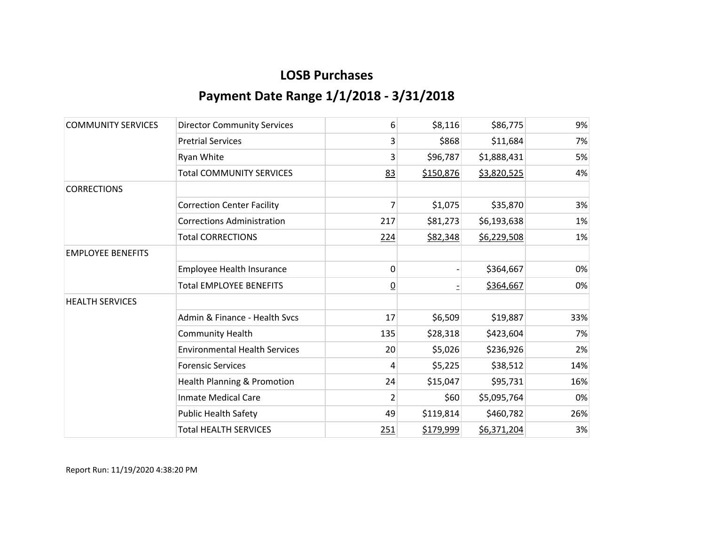| <b>COMMUNITY SERVICES</b> | <b>Director Community Services</b>     | 6              | \$8,116   | \$86,775    | 9%  |
|---------------------------|----------------------------------------|----------------|-----------|-------------|-----|
|                           | <b>Pretrial Services</b>               | 3              | \$868     | \$11,684    | 7%  |
|                           | Ryan White                             | 3              | \$96,787  | \$1,888,431 | 5%  |
|                           | <b>Total COMMUNITY SERVICES</b>        | 83             | \$150,876 | \$3,820,525 | 4%  |
| <b>CORRECTIONS</b>        |                                        |                |           |             |     |
|                           | <b>Correction Center Facility</b>      | 7              | \$1,075   | \$35,870    | 3%  |
|                           | <b>Corrections Administration</b>      | 217            | \$81,273  | \$6,193,638 | 1%  |
|                           | <b>Total CORRECTIONS</b>               | 224            | \$82,348  | \$6,229,508 | 1%  |
| <b>EMPLOYEE BENEFITS</b>  |                                        |                |           |             |     |
|                           | Employee Health Insurance              | 0              |           | \$364,667   | 0%  |
|                           | <b>Total EMPLOYEE BENEFITS</b>         | $\overline{0}$ |           | \$364,667   | 0%  |
| <b>HEALTH SERVICES</b>    |                                        |                |           |             |     |
|                           | Admin & Finance - Health Sycs          | 17             | \$6,509   | \$19,887    | 33% |
|                           | <b>Community Health</b>                | 135            | \$28,318  | \$423,604   | 7%  |
|                           | <b>Environmental Health Services</b>   | 20             | \$5,026   | \$236,926   | 2%  |
|                           | <b>Forensic Services</b>               | 4              | \$5,225   | \$38,512    | 14% |
|                           | <b>Health Planning &amp; Promotion</b> | 24             | \$15,047  | \$95,731    | 16% |
|                           | <b>Inmate Medical Care</b>             | 2              | \$60      | \$5,095,764 | 0%  |
|                           | <b>Public Health Safety</b>            | 49             | \$119,814 | \$460,782   | 26% |
|                           | <b>Total HEALTH SERVICES</b>           | 251            | \$179,999 | \$6,371,204 | 3%  |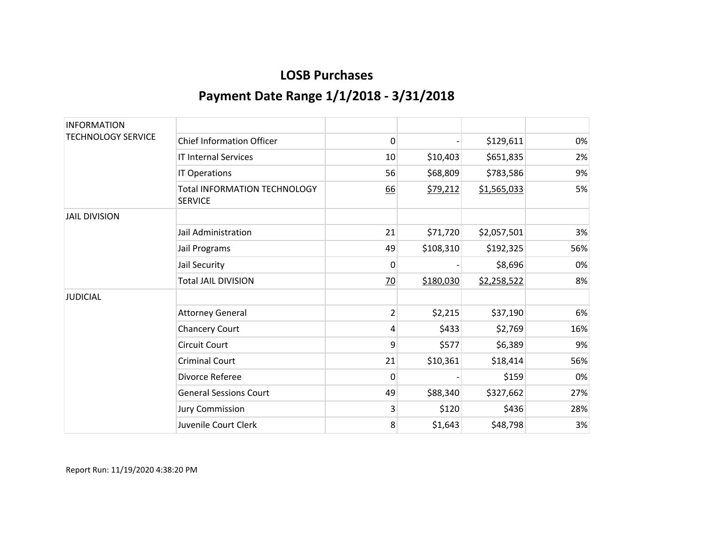| <b>INFORMATION</b>        |                                                       |           |           |             |     |
|---------------------------|-------------------------------------------------------|-----------|-----------|-------------|-----|
| <b>TECHNOLOGY SERVICE</b> | <b>Chief Information Officer</b>                      | 0         |           | \$129,611   | 0%  |
|                           | <b>IT Internal Services</b>                           | 10        | \$10,403  | \$651,835   | 2%  |
|                           | IT Operations                                         | 56        | \$68,809  | \$783,586   | 9%  |
|                           | <b>Total INFORMATION TECHNOLOGY</b><br><b>SERVICE</b> | <u>66</u> | \$79,212  | \$1,565,033 | 5%  |
| <b>JAIL DIVISION</b>      |                                                       |           |           |             |     |
|                           | Jail Administration                                   | 21        | \$71,720  | \$2,057,501 | 3%  |
|                           | Jail Programs                                         | 49        | \$108,310 | \$192,325   | 56% |
|                           | Jail Security                                         | 0         |           | \$8,696     | 0%  |
|                           | <b>Total JAIL DIVISION</b>                            | 70        | \$180,030 | \$2,258,522 | 8%  |
| <b>JUDICIAL</b>           |                                                       |           |           |             |     |
|                           | <b>Attorney General</b>                               | 2         | \$2,215   | \$37,190    | 6%  |
|                           | <b>Chancery Court</b>                                 | 4         | \$433     | \$2,769     | 16% |
|                           | <b>Circuit Court</b>                                  | 9         | \$577     | \$6,389     | 9%  |
|                           | <b>Criminal Court</b>                                 | 21        | \$10,361  | \$18,414    | 56% |
|                           | Divorce Referee                                       | 0         |           | \$159       | 0%  |
|                           | <b>General Sessions Court</b>                         | 49        | \$88,340  | \$327,662   | 27% |
|                           | <b>Jury Commission</b>                                | 3         | \$120     | \$436       | 28% |
|                           | Juvenile Court Clerk                                  | 8         | \$1,643   | \$48,798    | 3%  |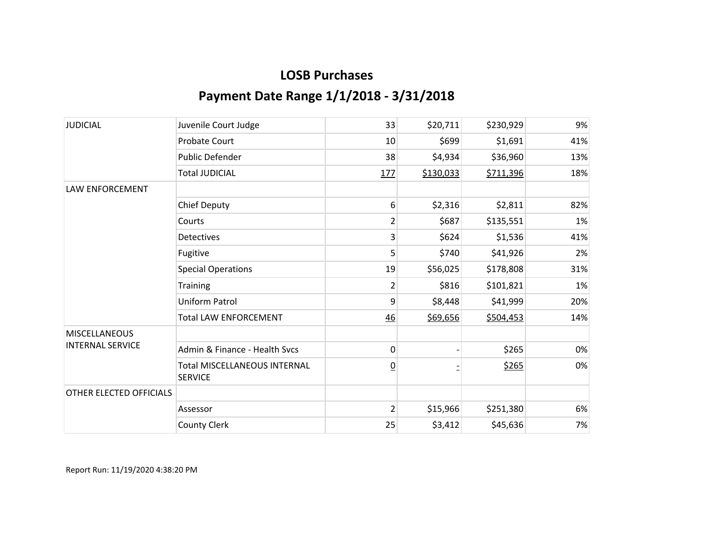| <b>JUDICIAL</b>         | Juvenile Court Judge                                  | 33              | \$20,711  | \$230,929 | 9%  |
|-------------------------|-------------------------------------------------------|-----------------|-----------|-----------|-----|
|                         | <b>Probate Court</b>                                  | 10              | \$699     | \$1,691   | 41% |
|                         | Public Defender                                       | 38              | \$4,934   | \$36,960  | 13% |
|                         | <b>Total JUDICIAL</b>                                 | 177             | \$130,033 | \$711,396 | 18% |
| <b>LAW ENFORCEMENT</b>  |                                                       |                 |           |           |     |
|                         | <b>Chief Deputy</b>                                   | 6               | \$2,316   | \$2,811   | 82% |
|                         | Courts                                                | $\overline{2}$  | \$687     | \$135,551 | 1%  |
|                         | <b>Detectives</b>                                     | 3               | \$624     | \$1,536   | 41% |
|                         | Fugitive                                              | 5               | \$740     | \$41,926  | 2%  |
|                         | <b>Special Operations</b>                             | 19              | \$56,025  | \$178,808 | 31% |
|                         | <b>Training</b>                                       | $\overline{2}$  | \$816     | \$101,821 | 1%  |
|                         | <b>Uniform Patrol</b>                                 | 9               | \$8,448   | \$41,999  | 20% |
|                         | <b>Total LAW ENFORCEMENT</b>                          | 46              | \$69,656  | \$504,453 | 14% |
| <b>MISCELLANEOUS</b>    |                                                       |                 |           |           |     |
| <b>INTERNAL SERVICE</b> | Admin & Finance - Health Svcs                         | $\mathbf 0$     |           | \$265     | 0%  |
|                         | <b>Total MISCELLANEOUS INTERNAL</b><br><b>SERVICE</b> | $\underline{0}$ |           | \$265     | 0%  |
| OTHER ELECTED OFFICIALS |                                                       |                 |           |           |     |
|                         | Assessor                                              | $\overline{2}$  | \$15,966  | \$251,380 | 6%  |
|                         | <b>County Clerk</b>                                   | 25              | \$3,412   | \$45,636  | 7%  |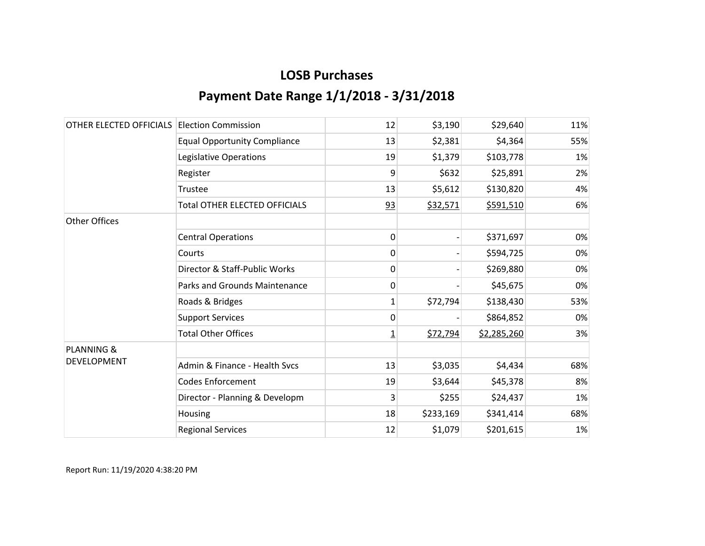| OTHER ELECTED OFFICIALS | <b>Election Commission</b>           | 12             | \$3,190   | \$29,640    | 11% |
|-------------------------|--------------------------------------|----------------|-----------|-------------|-----|
|                         | <b>Equal Opportunity Compliance</b>  | 13             | \$2,381   | \$4,364     | 55% |
|                         | Legislative Operations               | 19             | \$1,379   | \$103,778   | 1%  |
|                         | Register                             | 9              | \$632     | \$25,891    | 2%  |
|                         | Trustee                              | 13             | \$5,612   | \$130,820   | 4%  |
|                         | <b>Total OTHER ELECTED OFFICIALS</b> | 93             | \$32,571  | \$591,510   | 6%  |
| <b>Other Offices</b>    |                                      |                |           |             |     |
|                         | <b>Central Operations</b>            | 0              |           | \$371,697   | 0%  |
|                         | Courts                               | 0              |           | \$594,725   | 0%  |
|                         | Director & Staff-Public Works        | 0              |           | \$269,880   | 0%  |
|                         | Parks and Grounds Maintenance        | 0              |           | \$45,675    | 0%  |
|                         | Roads & Bridges                      | 1              | \$72,794  | \$138,430   | 53% |
|                         | <b>Support Services</b>              | 0              |           | \$864,852   | 0%  |
|                         | <b>Total Other Offices</b>           | $\overline{1}$ | \$72,794  | \$2,285,260 | 3%  |
| <b>PLANNING &amp;</b>   |                                      |                |           |             |     |
| <b>DEVELOPMENT</b>      | Admin & Finance - Health Svcs        | 13             | \$3,035   | \$4,434     | 68% |
|                         | <b>Codes Enforcement</b>             | 19             | \$3,644   | \$45,378    | 8%  |
|                         | Director - Planning & Developm       | 3              | \$255     | \$24,437    | 1%  |
|                         | Housing                              | 18             | \$233,169 | \$341,414   | 68% |
|                         | <b>Regional Services</b>             | 12             | \$1,079   | \$201,615   | 1%  |